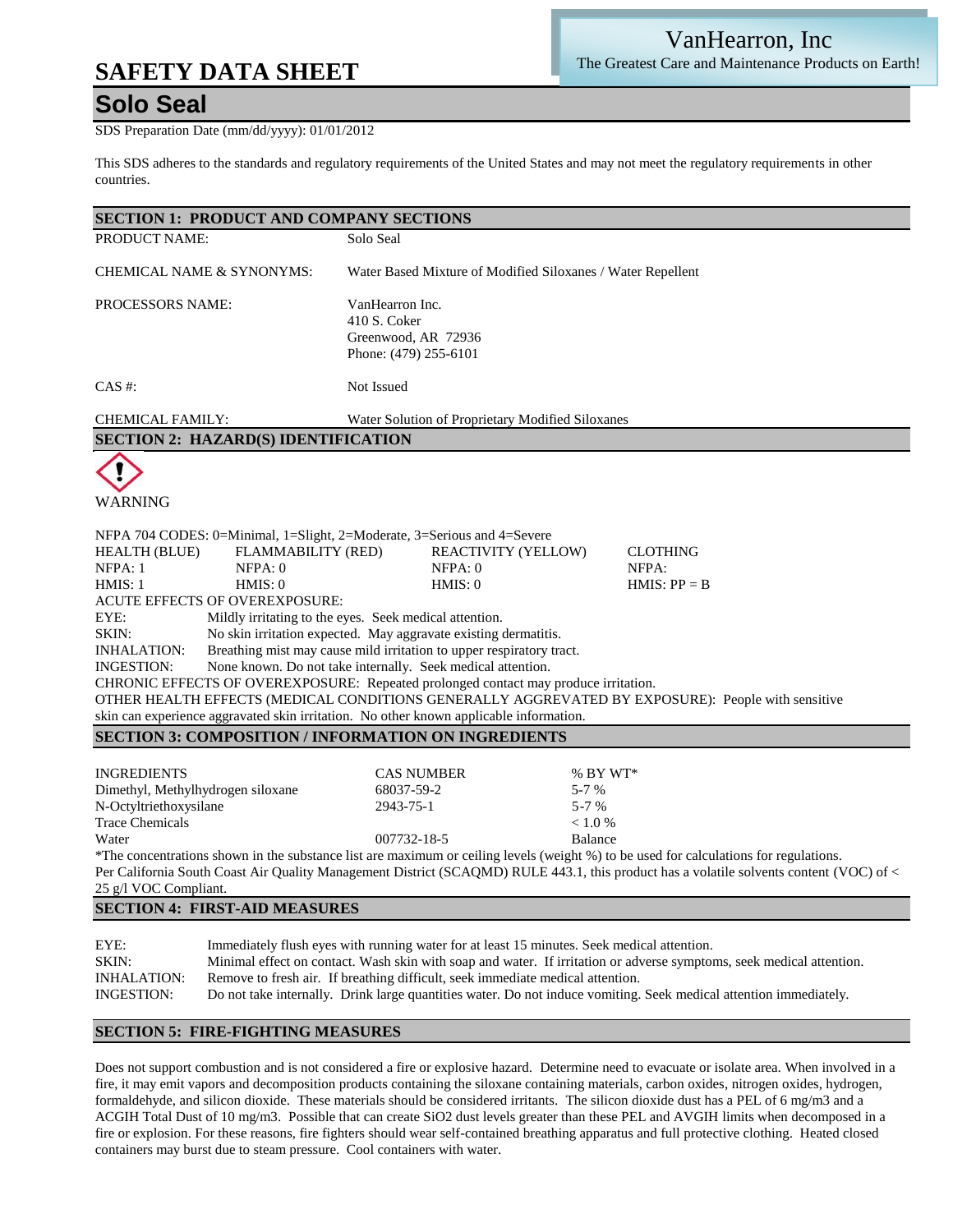# **SAFETY DATA SHEET**

## **Solo Seal**

SDS Preparation Date (mm/dd/yyyy): 01/01/2012

This SDS adheres to the standards and regulatory requirements of the United States and may not meet the regulatory requirements in other countries.

| <b>SECTION 1: PRODUCT AND COMPANY SECTIONS</b>                                                                                                                                                                                                                                |                                                                                                                                                                                                                                                                                                                                                                                                                                                                                                                                                                                                                                                          |  |
|-------------------------------------------------------------------------------------------------------------------------------------------------------------------------------------------------------------------------------------------------------------------------------|----------------------------------------------------------------------------------------------------------------------------------------------------------------------------------------------------------------------------------------------------------------------------------------------------------------------------------------------------------------------------------------------------------------------------------------------------------------------------------------------------------------------------------------------------------------------------------------------------------------------------------------------------------|--|
| PRODUCT NAME:                                                                                                                                                                                                                                                                 | Solo Seal                                                                                                                                                                                                                                                                                                                                                                                                                                                                                                                                                                                                                                                |  |
| CHEMICAL NAME & SYNONYMS:                                                                                                                                                                                                                                                     | Water Based Mixture of Modified Siloxanes / Water Repellent                                                                                                                                                                                                                                                                                                                                                                                                                                                                                                                                                                                              |  |
| PROCESSORS NAME:                                                                                                                                                                                                                                                              | VanHearron Inc.<br>410 S. Coker<br>Greenwood, AR 72936<br>Phone: (479) 255-6101                                                                                                                                                                                                                                                                                                                                                                                                                                                                                                                                                                          |  |
| $CAS$ #:                                                                                                                                                                                                                                                                      | Not Issued                                                                                                                                                                                                                                                                                                                                                                                                                                                                                                                                                                                                                                               |  |
| <b>CHEMICAL FAMILY:</b>                                                                                                                                                                                                                                                       | Water Solution of Proprietary Modified Siloxanes                                                                                                                                                                                                                                                                                                                                                                                                                                                                                                                                                                                                         |  |
| <b>SECTION 2: HAZARD(S) IDENTIFICATION</b>                                                                                                                                                                                                                                    |                                                                                                                                                                                                                                                                                                                                                                                                                                                                                                                                                                                                                                                          |  |
|                                                                                                                                                                                                                                                                               |                                                                                                                                                                                                                                                                                                                                                                                                                                                                                                                                                                                                                                                          |  |
| WARNING                                                                                                                                                                                                                                                                       |                                                                                                                                                                                                                                                                                                                                                                                                                                                                                                                                                                                                                                                          |  |
| NFPA 704 CODES: 0=Minimal, 1=Slight, 2=Moderate, 3=Serious and 4=Severe<br><b>HEALTH (BLUE)</b><br><b>FLAMMABILITY (RED)</b><br>NFPA: 1<br>NFPA: 0<br>HMIS: 0<br>HMIS: 1<br><b>ACUTE EFFECTS OF OVEREXPOSURE:</b><br>EYE:<br>SKIN:<br><b>INHALATION:</b><br><b>INGESTION:</b> | <b>REACTIVITY (YELLOW)</b><br><b>CLOTHING</b><br>NFPA: 0<br>NFPA:<br>HMIS: 0<br>$HMIS: PP = B$<br>Mildly irritating to the eyes. Seek medical attention.<br>No skin irritation expected. May aggravate existing dermatitis.<br>Breathing mist may cause mild irritation to upper respiratory tract.<br>None known. Do not take internally. Seek medical attention.<br>CHRONIC EFFECTS OF OVEREXPOSURE: Repeated prolonged contact may produce irritation.<br>OTHER HEALTH EFFECTS (MEDICAL CONDITIONS GENERALLY AGGREVATED BY EXPOSURE): People with sensitive<br>skin can experience aggravated skin irritation. No other known applicable information. |  |
| <b>SECTION 3: COMPOSITION / INFORMATION ON INGREDIENTS</b>                                                                                                                                                                                                                    |                                                                                                                                                                                                                                                                                                                                                                                                                                                                                                                                                                                                                                                          |  |
| <b>INGREDIENTS</b><br>Dimethyl, Methylhydrogen siloxane<br>N-Octyltriethoxysilane<br><b>Trace Chemicals</b><br>Water<br>25 g/l VOC Compliant.                                                                                                                                 | <b>CAS NUMBER</b><br>$%$ BY WT*<br>68037-59-2<br>$5 - 7 %$<br>2943-75-1<br>$5 - 7 %$<br>< 1.0 %<br>007732-18-5<br>Balance<br>*The concentrations shown in the substance list are maximum or ceiling levels (weight %) to be used for calculations for regulations.<br>Per California South Coast Air Quality Management District (SCAQMD) RULE 443.1, this product has a volatile solvents content (VOC) of <                                                                                                                                                                                                                                            |  |
| <b>SECTION 4: FIRST-AID MEASURES</b>                                                                                                                                                                                                                                          |                                                                                                                                                                                                                                                                                                                                                                                                                                                                                                                                                                                                                                                          |  |
| EYE:<br>SKIN:<br><b>INHALATION:</b><br>INGESTION:                                                                                                                                                                                                                             | Immediately flush eyes with running water for at least 15 minutes. Seek medical attention.<br>Minimal effect on contact. Wash skin with soap and water. If irritation or adverse symptoms, seek medical attention.<br>Remove to fresh air. If breathing difficult, seek immediate medical attention.<br>Do not take internally. Drink large quantities water. Do not induce vomiting. Seek medical attention immediately.                                                                                                                                                                                                                                |  |

#### **SECTION 5: FIRE-FIGHTING MEASURES**

Does not support combustion and is not considered a fire or explosive hazard. Determine need to evacuate or isolate area. When involved in a fire, it may emit vapors and decomposition products containing the siloxane containing materials, carbon oxides, nitrogen oxides, hydrogen, formaldehyde, and silicon dioxide. These materials should be considered irritants. The silicon dioxide dust has a PEL of 6 mg/m3 and a ACGIH Total Dust of 10 mg/m3. Possible that can create SiO2 dust levels greater than these PEL and AVGIH limits when decomposed in a fire or explosion. For these reasons, fire fighters should wear self-contained breathing apparatus and full protective clothing. Heated closed containers may burst due to steam pressure. Cool containers with water.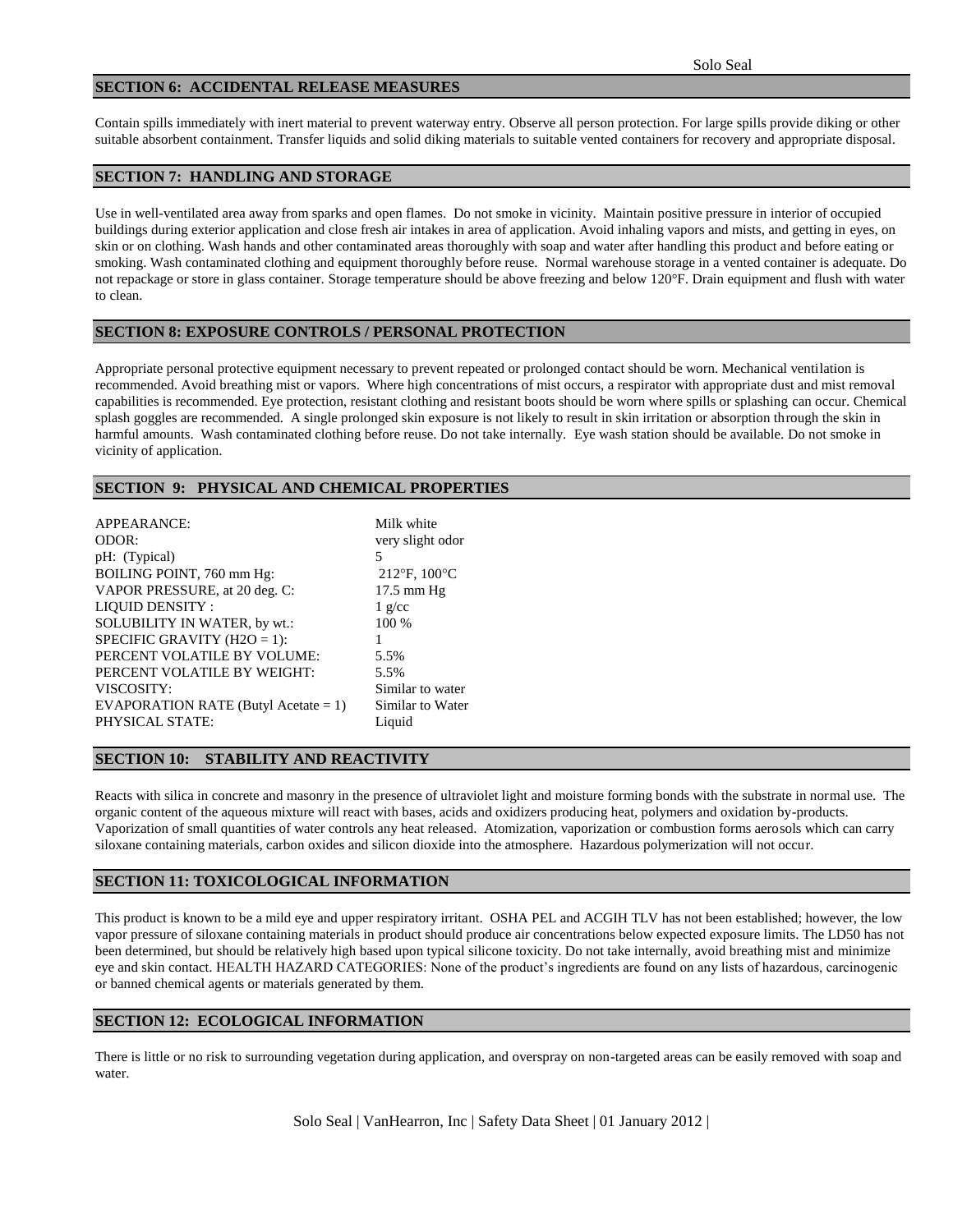### **SECTION 6: ACCIDENTAL RELEASE MEASURES**

Contain spills immediately with inert material to prevent waterway entry. Observe all person protection. For large spills provide diking or other suitable absorbent containment. Transfer liquids and solid diking materials to suitable vented containers for recovery and appropriate disposal.

## **SECTION 7: HANDLING AND STORAGE**

Use in well-ventilated area away from sparks and open flames. Do not smoke in vicinity. Maintain positive pressure in interior of occupied buildings during exterior application and close fresh air intakes in area of application. Avoid inhaling vapors and mists, and getting in eyes, on skin or on clothing. Wash hands and other contaminated areas thoroughly with soap and water after handling this product and before eating or smoking. Wash contaminated clothing and equipment thoroughly before reuse. Normal warehouse storage in a vented container is adequate. Do not repackage or store in glass container. Storage temperature should be above freezing and below 120°F. Drain equipment and flush with water to clean.

#### **SECTION 8: EXPOSURE CONTROLS / PERSONAL PROTECTION**

Appropriate personal protective equipment necessary to prevent repeated or prolonged contact should be worn. Mechanical ventilation is recommended. Avoid breathing mist or vapors. Where high concentrations of mist occurs, a respirator with appropriate dust and mist removal capabilities is recommended. Eye protection, resistant clothing and resistant boots should be worn where spills or splashing can occur. Chemical splash goggles are recommended. A single prolonged skin exposure is not likely to result in skin irritation or absorption through the skin in harmful amounts. Wash contaminated clothing before reuse. Do not take internally. Eye wash station should be available. Do not smoke in vicinity of application.

## **SECTION 9: PHYSICAL AND CHEMICAL PROPERTIES**

| APPEARANCE:                             | Milk white       |
|-----------------------------------------|------------------|
| ODOR:                                   | very slight odor |
| pH: (Typical)                           | 5                |
| BOILING POINT, 760 mm Hg:               | 212°F, 100°C     |
| VAPOR PRESSURE, at 20 deg. C:           | $17.5$ mm Hg     |
| <b>LIQUID DENSITY:</b>                  | $1$ g/cc         |
| SOLUBILITY IN WATER, by wt.:            | 100 %            |
| SPECIFIC GRAVITY ( $H2O = 1$ ):         |                  |
| PERCENT VOLATILE BY VOLUME:             | 5.5%             |
| PERCENT VOLATILE BY WEIGHT:             | 5.5%             |
| VISCOSITY:                              | Similar to water |
| EVAPORATION RATE (Butyl Acetate = $1$ ) | Similar to Water |
| PHYSICAL STATE:                         | Liquid           |
|                                         |                  |

#### **SECTION 10: STABILITY AND REACTIVITY**

Reacts with silica in concrete and masonry in the presence of ultraviolet light and moisture forming bonds with the substrate in normal use. The organic content of the aqueous mixture will react with bases, acids and oxidizers producing heat, polymers and oxidation by-products. Vaporization of small quantities of water controls any heat released. Atomization, vaporization or combustion forms aerosols which can carry siloxane containing materials, carbon oxides and silicon dioxide into the atmosphere. Hazardous polymerization will not occur.

## **SECTION 11: TOXICOLOGICAL INFORMATION**

This product is known to be a mild eye and upper respiratory irritant. OSHA PEL and ACGIH TLV has not been established; however, the low vapor pressure of siloxane containing materials in product should produce air concentrations below expected exposure limits. The LD50 has not been determined, but should be relatively high based upon typical silicone toxicity. Do not take internally, avoid breathing mist and minimize eye and skin contact. HEALTH HAZARD CATEGORIES: None of the product's ingredients are found on any lists of hazardous, carcinogenic or banned chemical agents or materials generated by them.

## **SECTION 12: ECOLOGICAL INFORMATION**

There is little or no risk to surrounding vegetation during application, and overspray on non-targeted areas can be easily removed with soap and water.

Solo Seal | VanHearron, Inc | Safety Data Sheet | 01 January 2012 |